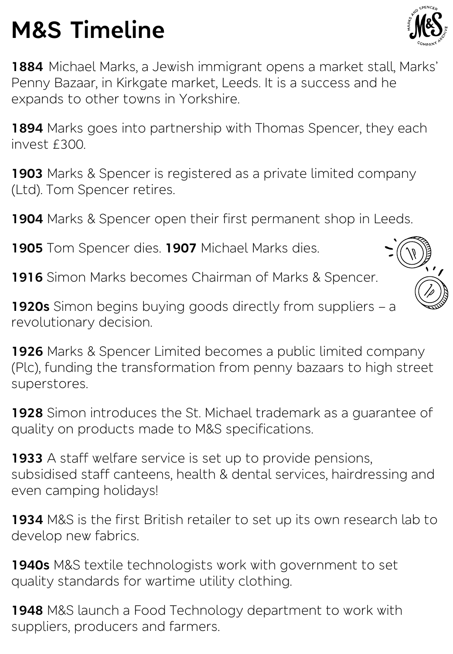## **M&S Timeline**



**1884** Michael Marks, a Jewish immigrant opens a market stall, Marks' Penny Bazaar, in Kirkgate market, Leeds. It is a success and he expands to other towns in Yorkshire.

**1894** Marks goes into partnership with Thomas Spencer, they each invest £300.

**1903** Marks & Spencer is registered as a private limited company (Ltd). Tom Spencer retires.

**1904** Marks & Spencer open their first permanent shop in Leeds.

**1905** Tom Spencer dies. **1907** Michael Marks dies.

**1916** Simon Marks becomes Chairman of Marks & Spencer.

**1920s** Simon begins buying goods directly from suppliers – a revolutionary decision.

**1926** Marks & Spencer Limited becomes a public limited company (Plc), funding the transformation from penny bazaars to high street superstores.

**1928** Simon introduces the St. Michael trademark as a guarantee of quality on products made to M&S specifications.

**1933** A staff welfare service is set up to provide pensions, subsidised staff canteens, health & dental services, hairdressing and even camping holidays!

**1934** M&S is the first British retailer to set up its own research lab to develop new fabrics.

**1940s** M&S textile technologists work with government to set quality standards for wartime utility clothing.

**1948** M&S launch a Food Technology department to work with suppliers, producers and farmers.